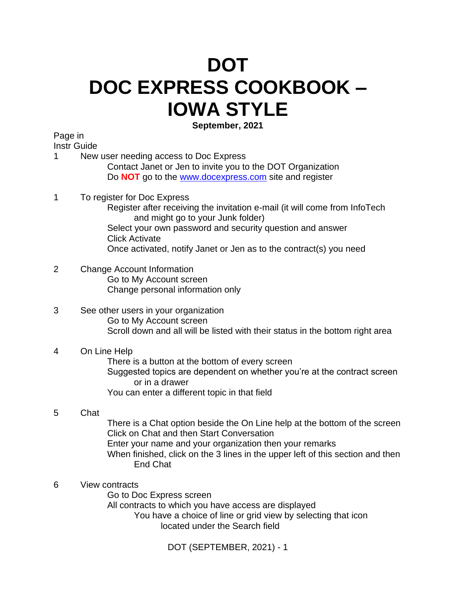# **DOT DOC EXPRESS COOKBOOK – IOWA STYLE**

**September, 2021**

Page in

Instr Guide

1 New user needing access to Doc Express Contact Janet or Jen to invite you to the DOT Organization Do **NOT** go to the [www.docexpress.com](http://www.docexpress.com/) site and register

## 1 To register for Doc Express

Register after receiving the invitation e-mail (it will come from InfoTech and might go to your Junk folder)

Select your own password and security question and answer Click Activate

Once activated, notify Janet or Jen as to the contract(s) you need

- 2 Change Account Information Go to My Account screen Change personal information only
- 3 See other users in your organization Go to My Account screen Scroll down and all will be listed with their status in the bottom right area

## 4 On Line Help

There is a button at the bottom of every screen Suggested topics are dependent on whether you're at the contract screen or in a drawer You can enter a different topic in that field

# 5 Chat

There is a Chat option beside the On Line help at the bottom of the screen Click on Chat and then Start Conversation Enter your name and your organization then your remarks When finished, click on the 3 lines in the upper left of this section and then End Chat

6 View contracts

Go to Doc Express screen All contracts to which you have access are displayed You have a choice of line or grid view by selecting that icon located under the Search field

DOT (SEPTEMBER, 2021) - 1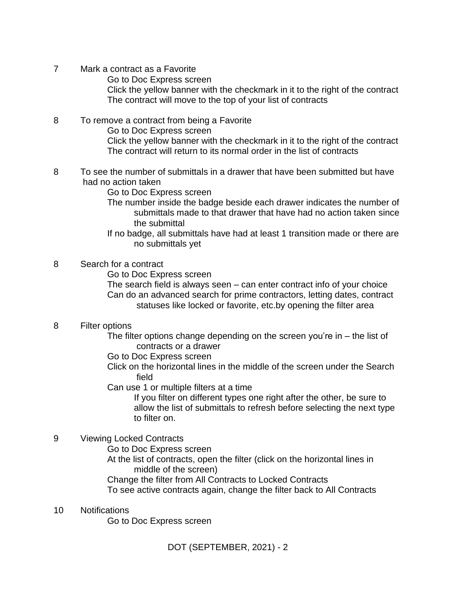- 7 Mark a contract as a Favorite Go to Doc Express screen Click the yellow banner with the checkmark in it to the right of the contract The contract will move to the top of your list of contracts
- 8 To remove a contract from being a Favorite Go to Doc Express screen Click the yellow banner with the checkmark in it to the right of the contract The contract will return to its normal order in the list of contracts
- 8 To see the number of submittals in a drawer that have been submitted but have had no action taken

Go to Doc Express screen

- The number inside the badge beside each drawer indicates the number of submittals made to that drawer that have had no action taken since the submittal
- If no badge, all submittals have had at least 1 transition made or there are no submittals yet

## 8 Search for a contract

Go to Doc Express screen

The search field is always seen – can enter contract info of your choice Can do an advanced search for prime contractors, letting dates, contract statuses like locked or favorite, etc.by opening the filter area

#### 8 Filter options

The filter options change depending on the screen you're in  $-$  the list of contracts or a drawer

- Go to Doc Express screen
- Click on the horizontal lines in the middle of the screen under the Search field

Can use 1 or multiple filters at a time

If you filter on different types one right after the other, be sure to allow the list of submittals to refresh before selecting the next type to filter on.

# 9 Viewing Locked Contracts

- Go to Doc Express screen
- At the list of contracts, open the filter (click on the horizontal lines in middle of the screen)
- Change the filter from All Contracts to Locked Contracts
- To see active contracts again, change the filter back to All Contracts

#### 10 Notifications

Go to Doc Express screen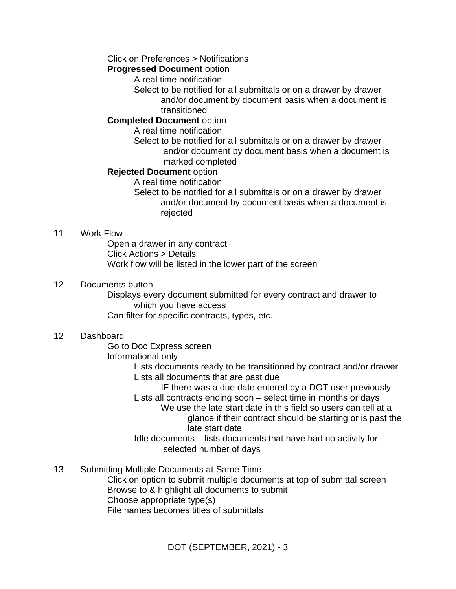#### Click on Preferences > Notifications

#### **Progressed Document** option

A real time notification

Select to be notified for all submittals or on a drawer by drawer and/or document by document basis when a document is transitioned

#### **Completed Document** option

A real time notification

Select to be notified for all submittals or on a drawer by drawer and/or document by document basis when a document is marked completed

#### **Rejected Document** option

A real time notification

Select to be notified for all submittals or on a drawer by drawer and/or document by document basis when a document is rejected

#### 11 Work Flow

Open a drawer in any contract Click Actions > Details Work flow will be listed in the lower part of the screen

#### 12 Documents button

Displays every document submitted for every contract and drawer to which you have access

Can filter for specific contracts, types, etc.

#### 12 Dashboard

Go to Doc Express screen

Informational only

Lists documents ready to be transitioned by contract and/or drawer Lists all documents that are past due

IF there was a due date entered by a DOT user previously Lists all contracts ending soon – select time in months or days

We use the late start date in this field so users can tell at a glance if their contract should be starting or is past the late start date

Idle documents – lists documents that have had no activity for selected number of days

13 Submitting Multiple Documents at Same Time

Click on option to submit multiple documents at top of submittal screen Browse to & highlight all documents to submit Choose appropriate type(s) File names becomes titles of submittals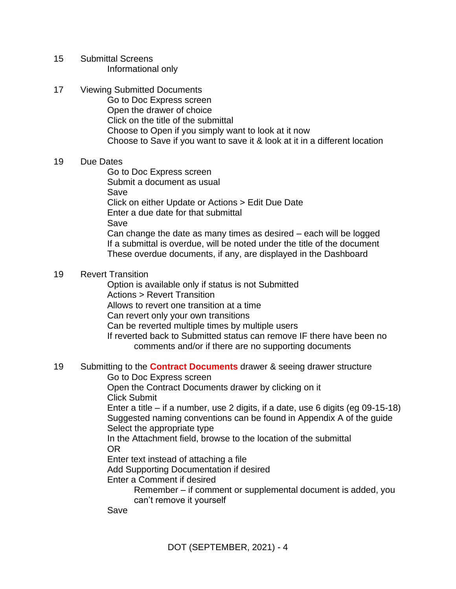- 15 Submittal Screens Informational only
- 17 Viewing Submitted Documents Go to Doc Express screen Open the drawer of choice Click on the title of the submittal Choose to Open if you simply want to look at it now Choose to Save if you want to save it & look at it in a different location

#### 19 Due Dates

Go to Doc Express screen Submit a document as usual Save Click on either Update or Actions > Edit Due Date Enter a due date for that submittal Save Can change the date as many times as desired – each will be logged If a submittal is overdue, will be noted under the title of the document These overdue documents, if any, are displayed in the Dashboard

## 19 Revert Transition

Option is available only if status is not Submitted Actions > Revert Transition Allows to revert one transition at a time Can revert only your own transitions Can be reverted multiple times by multiple users If reverted back to Submitted status can remove IF there have been no comments and/or if there are no supporting documents

## 19 Submitting to the **Contract Documents** drawer & seeing drawer structure

Go to Doc Express screen

Open the Contract Documents drawer by clicking on it Click Submit

Enter a title – if a number, use 2 digits, if a date, use 6 digits (eg 09-15-18) Suggested naming conventions can be found in Appendix A of the guide Select the appropriate type

In the Attachment field, browse to the location of the submittal OR

Enter text instead of attaching a file

Add Supporting Documentation if desired

Enter a Comment if desired

Remember – if comment or supplemental document is added, you can't remove it yourself

Save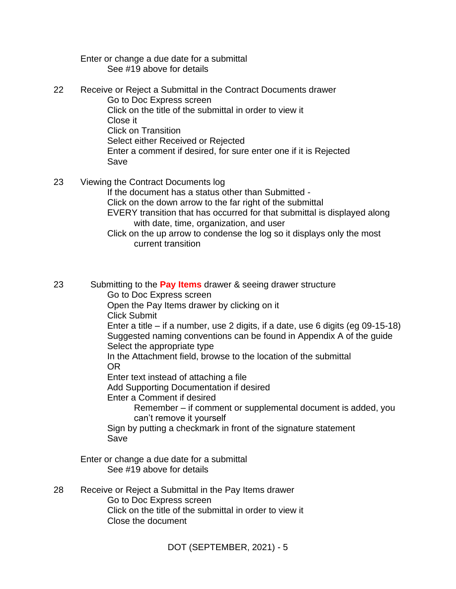Enter or change a due date for a submittal See #19 above for details

- 22 Receive or Reject a Submittal in the Contract Documents drawer Go to Doc Express screen Click on the title of the submittal in order to view it Close it Click on Transition Select either Received or Rejected Enter a comment if desired, for sure enter one if it is Rejected Save
- 23 Viewing the Contract Documents log If the document has a status other than Submitted - Click on the down arrow to the far right of the submittal EVERY transition that has occurred for that submittal is displayed along with date, time, organization, and user Click on the up arrow to condense the log so it displays only the most current transition

23 Submitting to the **Pay Items** drawer & seeing drawer structure Go to Doc Express screen Open the Pay Items drawer by clicking on it Click Submit Enter a title – if a number, use 2 digits, if a date, use 6 digits (eg 09-15-18) Suggested naming conventions can be found in Appendix A of the guide Select the appropriate type In the Attachment field, browse to the location of the submittal OR Enter text instead of attaching a file Add Supporting Documentation if desired Enter a Comment if desired Remember – if comment or supplemental document is added, you can't remove it yourself Sign by putting a checkmark in front of the signature statement Save Enter or change a due date for a submittal See #19 above for details 28 Receive or Reject a Submittal in the Pay Items drawer Go to Doc Express screen Click on the title of the submittal in order to view it Close the document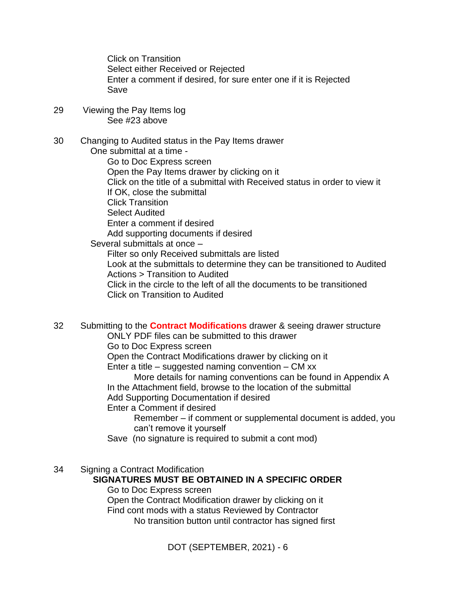Click on Transition Select either Received or Rejected Enter a comment if desired, for sure enter one if it is Rejected Save

29 Viewing the Pay Items log See #23 above

30 Changing to Audited status in the Pay Items drawer One submittal at a time - Go to Doc Express screen Open the Pay Items drawer by clicking on it Click on the title of a submittal with Received status in order to view it If OK, close the submittal Click Transition Select Audited Enter a comment if desired Add supporting documents if desired Several submittals at once – Filter so only Received submittals are listed Look at the submittals to determine they can be transitioned to Audited Actions > Transition to Audited

Click in the circle to the left of all the documents to be transitioned Click on Transition to Audited

32 Submitting to the **Contract Modifications** drawer & seeing drawer structure ONLY PDF files can be submitted to this drawer Go to Doc Express screen

Open the Contract Modifications drawer by clicking on it

Enter a title – suggested naming convention –  $CM$  xx

More details for naming conventions can be found in Appendix A In the Attachment field, browse to the location of the submittal Add Supporting Documentation if desired

Enter a Comment if desired

Remember – if comment or supplemental document is added, you can't remove it yourself

Save (no signature is required to submit a cont mod)

34 Signing a Contract Modification

#### **SIGNATURES MUST BE OBTAINED IN A SPECIFIC ORDER**

Go to Doc Express screen Open the Contract Modification drawer by clicking on it Find cont mods with a status Reviewed by Contractor No transition button until contractor has signed first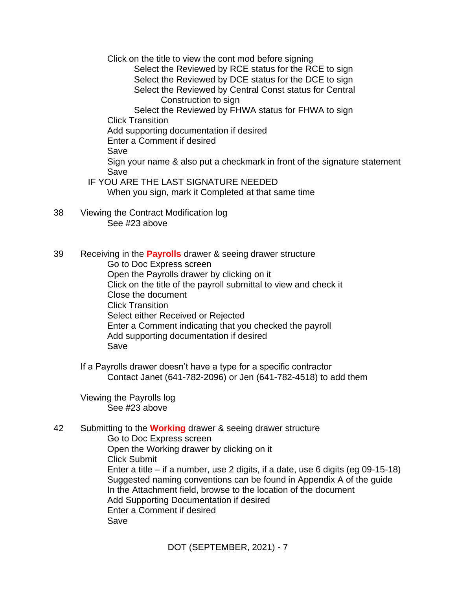Click on the title to view the cont mod before signing

Select the Reviewed by RCE status for the RCE to sign Select the Reviewed by DCE status for the DCE to sign Select the Reviewed by Central Const status for Central Construction to sign

Select the Reviewed by FHWA status for FHWA to sign Click Transition

Add supporting documentation if desired

Enter a Comment if desired

Save

Sign your name & also put a checkmark in front of the signature statement Save

- IF YOU ARE THE LAST SIGNATURE NEEDED When you sign, mark it Completed at that same time
- 38 Viewing the Contract Modification log See #23 above

39 Receiving in the **Payrolls** drawer & seeing drawer structure Go to Doc Express screen Open the Payrolls drawer by clicking on it Click on the title of the payroll submittal to view and check it Close the document Click Transition Select either Received or Rejected Enter a Comment indicating that you checked the payroll Add supporting documentation if desired Save

If a Payrolls drawer doesn't have a type for a specific contractor Contact Janet (641-782-2096) or Jen (641-782-4518) to add them

Viewing the Payrolls log See #23 above

42 Submitting to the **Working** drawer & seeing drawer structure Go to Doc Express screen Open the Working drawer by clicking on it Click Submit Enter a title – if a number, use 2 digits, if a date, use 6 digits (eg 09-15-18) Suggested naming conventions can be found in Appendix A of the guide In the Attachment field, browse to the location of the document Add Supporting Documentation if desired Enter a Comment if desired Save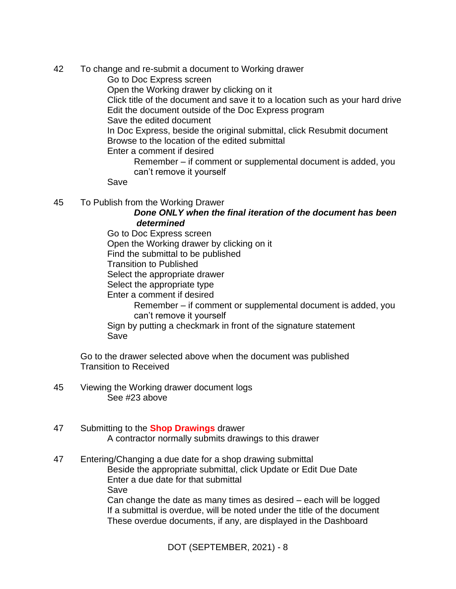- 42 To change and re-submit a document to Working drawer
	- Go to Doc Express screen
	- Open the Working drawer by clicking on it
	- Click title of the document and save it to a location such as your hard drive Edit the document outside of the Doc Express program
	- Save the edited document
	- In Doc Express, beside the original submittal, click Resubmit document Browse to the location of the edited submittal
	- Enter a comment if desired
		- Remember if comment or supplemental document is added, you can't remove it yourself
	- Save
- 45 To Publish from the Working Drawer
	- *Done ONLY when the final iteration of the document has been determined*
	- Go to Doc Express screen Open the Working drawer by clicking on it Find the submittal to be published Transition to Published Select the appropriate drawer Select the appropriate type Enter a comment if desired Remember – if comment or supplemental document is added, you can't remove it yourself Sign by putting a checkmark in front of the signature statement
	- Save
	- Go to the drawer selected above when the document was published Transition to Received
- 45 Viewing the Working drawer document logs See #23 above
- 47 Submitting to the **Shop Drawings** drawer A contractor normally submits drawings to this drawer
- 47 Entering/Changing a due date for a shop drawing submittal Beside the appropriate submittal, click Update or Edit Due Date Enter a due date for that submittal Save Can change the date as many times as desired – each will be logged If a submittal is overdue, will be noted under the title of the document These overdue documents, if any, are displayed in the Dashboard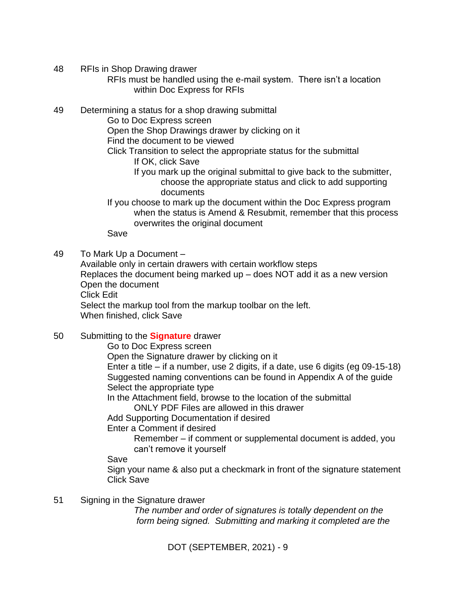- 48 RFIs in Shop Drawing drawer
	- RFIs must be handled using the e-mail system. There isn't a location within Doc Express for RFIs
- 49 Determining a status for a shop drawing submittal
	- Go to Doc Express screen
		- Open the Shop Drawings drawer by clicking on it
		- Find the document to be viewed
		- Click Transition to select the appropriate status for the submittal If OK, click Save
			- If you mark up the original submittal to give back to the submitter, choose the appropriate status and click to add supporting documents
		- If you choose to mark up the document within the Doc Express program when the status is Amend & Resubmit, remember that this process overwrites the original document

Save

49 To Mark Up a Document –

Available only in certain drawers with certain workflow steps Replaces the document being marked up – does NOT add it as a new version Open the document Click Edit Select the markup tool from the markup toolbar on the left. When finished, click Save

- 50 Submitting to the **Signature** drawer
	- Go to Doc Express screen
	- Open the Signature drawer by clicking on it

Enter a title – if a number, use 2 digits, if a date, use 6 digits (eg 09-15-18) Suggested naming conventions can be found in Appendix A of the guide Select the appropriate type

In the Attachment field, browse to the location of the submittal

ONLY PDF Files are allowed in this drawer

Add Supporting Documentation if desired

Enter a Comment if desired

Remember – if comment or supplemental document is added, you can't remove it yourself

Save

Sign your name & also put a checkmark in front of the signature statement Click Save

51 Signing in the Signature drawer

*The number and order of signatures is totally dependent on the form being signed. Submitting and marking it completed are the*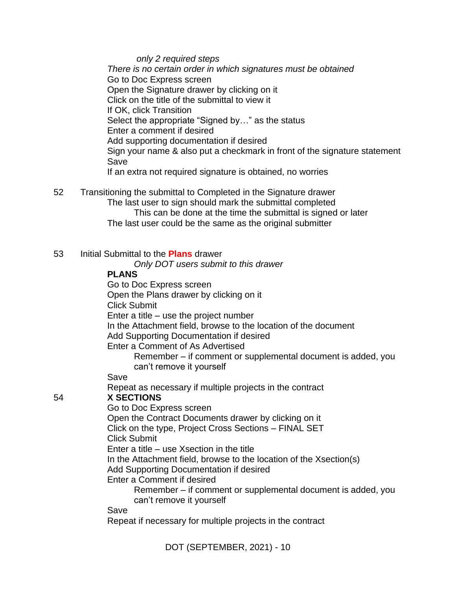*only 2 required steps There is no certain order in which signatures must be obtained* Go to Doc Express screen Open the Signature drawer by clicking on it Click on the title of the submittal to view it If OK, click Transition Select the appropriate "Signed by…" as the status Enter a comment if desired Add supporting documentation if desired Sign your name & also put a checkmark in front of the signature statement Save If an extra not required signature is obtained, no worries

52 Transitioning the submittal to Completed in the Signature drawer The last user to sign should mark the submittal completed This can be done at the time the submittal is signed or later The last user could be the same as the original submitter

DOT (SEPTEMBER, 2021) - 10 53 Initial Submittal to the **Plans** drawer *Only DOT users submit to this drawer* **PLANS** Go to Doc Express screen Open the Plans drawer by clicking on it Click Submit Enter a title – use the project number In the Attachment field, browse to the location of the document Add Supporting Documentation if desired Enter a Comment of As Advertised Remember – if comment or supplemental document is added, you can't remove it yourself Save Repeat as necessary if multiple projects in the contract 54 **X SECTIONS** Go to Doc Express screen Open the Contract Documents drawer by clicking on it Click on the type, Project Cross Sections – FINAL SET Click Submit Enter a title – use Xsection in the title In the Attachment field, browse to the location of the Xsection(s) Add Supporting Documentation if desired Enter a Comment if desired Remember – if comment or supplemental document is added, you can't remove it yourself Save Repeat if necessary for multiple projects in the contract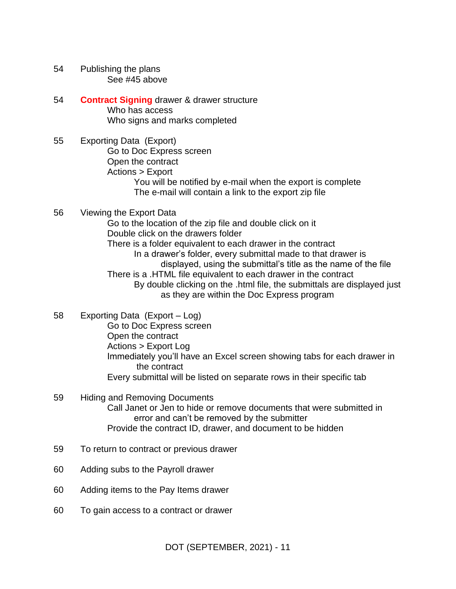- 54 Publishing the plans See #45 above
- 54 **Contract Signing** drawer & drawer structure Who has access Who signs and marks completed
- 55 Exporting Data (Export) Go to Doc Express screen Open the contract Actions > Export You will be notified by e-mail when the export is complete The e-mail will contain a link to the export zip file
- 56 Viewing the Export Data Go to the location of the zip file and double click on it Double click on the drawers folder There is a folder equivalent to each drawer in the contract In a drawer's folder, every submittal made to that drawer is displayed, using the submittal's title as the name of the file There is a .HTML file equivalent to each drawer in the contract By double clicking on the .html file, the submittals are displayed just as they are within the Doc Express program
- 58 Exporting Data (Export Log) Go to Doc Express screen Open the contract Actions > Export Log Immediately you'll have an Excel screen showing tabs for each drawer in the contract Every submittal will be listed on separate rows in their specific tab
- 59 Hiding and Removing Documents Call Janet or Jen to hide or remove documents that were submitted in error and can't be removed by the submitter Provide the contract ID, drawer, and document to be hidden
- 59 To return to contract or previous drawer
- 60 Adding subs to the Payroll drawer
- 60 Adding items to the Pay Items drawer
- 60 To gain access to a contract or drawer